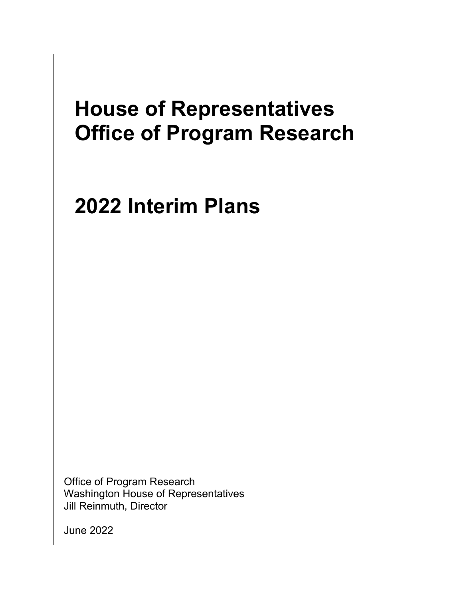# **House of Representatives Office of Program Research**

# **2022 Interim Plans**

 Office of Program Research Washington House of Representatives Jill Reinmuth, Director

June 2022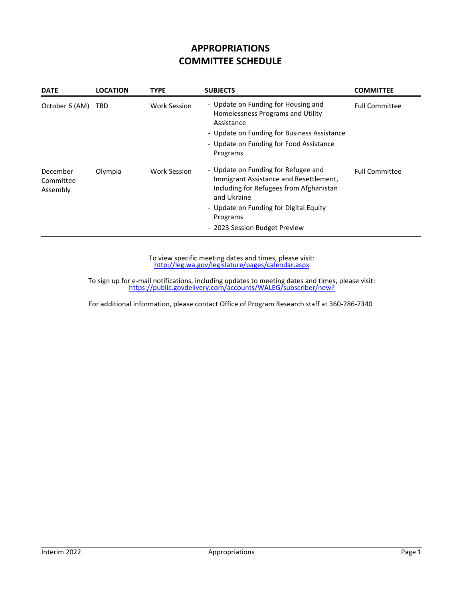# **APPROPRIATIONS COMMITTEE SCHEDULE**

| <b>DATE</b>                       | <b>LOCATION</b> | <b>TYPE</b>         | <b>SUBJECTS</b>                                                                                                                                                                                                                | <b>COMMITTEE</b>      |
|-----------------------------------|-----------------|---------------------|--------------------------------------------------------------------------------------------------------------------------------------------------------------------------------------------------------------------------------|-----------------------|
| October 6 (AM)                    | TBD             | <b>Work Session</b> | - Update on Funding for Housing and<br>Homelessness Programs and Utility<br>Assistance<br>- Update on Funding for Business Assistance<br>- Update on Funding for Food Assistance                                               | <b>Full Committee</b> |
|                                   |                 |                     | Programs                                                                                                                                                                                                                       |                       |
| December<br>Committee<br>Assembly | Olympia         | <b>Work Session</b> | - Update on Funding for Refugee and<br>Immigrant Assistance and Resettlement,<br>Including for Refugees from Afghanistan<br>and Ukraine<br>- Update on Funding for Digital Equity<br>Programs<br>- 2023 Session Budget Preview | <b>Full Committee</b> |

http://leg.wa.gov/legislature/pages/calendar.aspx To view specific meeting dates and times, please visit:

https://public.govdelivery.com/accounts/WALEG/subscriber/new? To sign up for e‐mail notifications, including updates to meeting dates and times, please visit: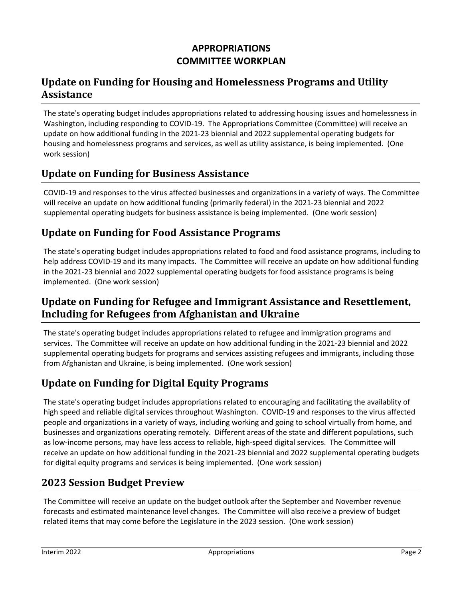# **APPROPRIATIONS COMMITTEE WORKPLAN**

# **Update on Funding for Housing and Homelessness Programs and Utility Assistance**

The state's operating budget includes appropriations related to addressing housing issues and homelessness in Washington, including responding to COVID‐19. The Appropriations Committee (Committee) will receive an update on how additional funding in the 2021‐23 biennial and 2022 supplemental operating budgets for housing and homelessness programs and services, as well as utility assistance, is being implemented. (One work session)

## **Update on Funding for Business Assistance**

COVID‐19 and responses to the virus affected businesses and organizations in a variety of ways. The Committee will receive an update on how additional funding (primarily federal) in the 2021‐23 biennial and 2022 supplemental operating budgets for business assistance is being implemented. (One work session)

## **Update on Funding for Food Assistance Programs**

The state's operating budget includes appropriations related to food and food assistance programs, including to help address COVID‐19 and its many impacts. The Committee will receive an update on how additional funding in the 2021-23 biennial and 2022 supplemental operating budgets for food assistance programs is being implemented. (One work session)

# **Update on Funding for Refugee and Immigrant Assistance and Resettlement, Including for Refugees from Afghanistan and Ukraine**

The state's operating budget includes appropriations related to refugee and immigration programs and services. The Committee will receive an update on how additional funding in the 2021‐23 biennial and 2022 supplemental operating budgets for programs and services assisting refugees and immigrants, including those from Afghanistan and Ukraine, is being implemented. (One work session)

# **Update on Funding for Digital Equity Programs**

The state's operating budget includes appropriations related to encouraging and facilitating the availablity of high speed and reliable digital services throughout Washington. COVID‐19 and responses to the virus affected people and organizations in a variety of ways, including working and going to school virtually from home, and businesses and organizations operating remotely. Different areas of the state and different populations, such as low-income persons, may have less access to reliable, high-speed digital services. The Committee will receive an update on how additional funding in the 2021‐23 biennial and 2022 supplemental operating budgets for digital equity programs and services is being implemented. (One work session)

# **2023 Session Budget Preview**

The Committee will receive an update on the budget outlook after the September and November revenue forecasts and estimated maintenance level changes. The Committee will also receive a preview of budget related items that may come before the Legislature in the 2023 session. (One work session)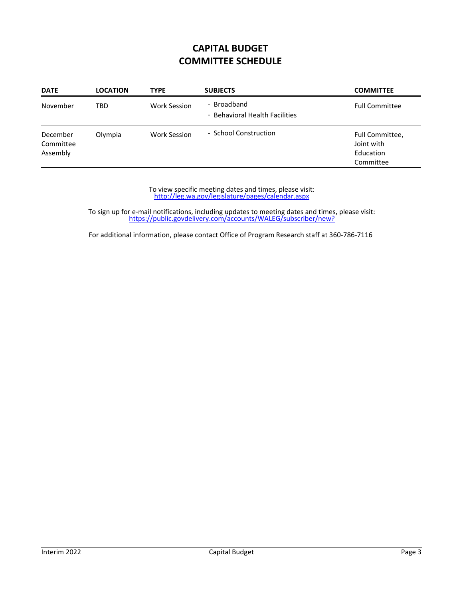# **CAPITAL BUDGET COMMITTEE SCHEDULE**

| <b>DATE</b>                       | <b>LOCATION</b> | <b>TYPE</b>         | <b>SUBJECTS</b>                               | <b>COMMITTEE</b>                                        |
|-----------------------------------|-----------------|---------------------|-----------------------------------------------|---------------------------------------------------------|
| November                          | TBD             | <b>Work Session</b> | - Broadband<br>- Behavioral Health Facilities | <b>Full Committee</b>                                   |
| December<br>Committee<br>Assembly | Olympia         | <b>Work Session</b> | - School Construction                         | Full Committee,<br>Joint with<br>Education<br>Committee |

http://leg.wa.gov/legislature/pages/calendar.aspx To view specific meeting dates and times, please visit:

https://public.govdelivery.com/accounts/WALEG/subscriber/new? To sign up for e‐mail notifications, including updates to meeting dates and times, please visit: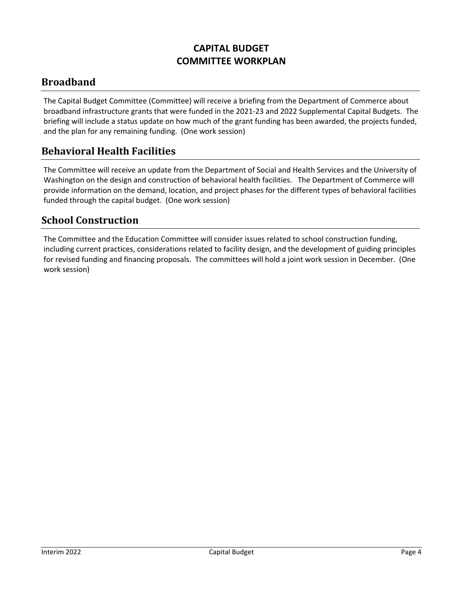# **CAPITAL BUDGET COMMITTEE WORKPLAN**

# **Broadband**

The Capital Budget Committee (Committee) will receive a briefing from the Department of Commerce about broadband infrastructure grants that were funded in the 2021‐23 and 2022 Supplemental Capital Budgets. The briefing will include a status update on how much of the grant funding has been awarded, the projects funded, and the plan for any remaining funding. (One work session)

#### **Behavioral Health Facilities**

The Committee will receive an update from the Department of Social and Health Services and the University of Washington on the design and construction of behavioral health facilities. The Department of Commerce will provide information on the demand, location, and project phases for the different types of behavioral facilities funded through the capital budget. (One work session)

#### **School Construction**

The Committee and the Education Committee will consider issues related to school construction funding, including current practices, considerations related to facility design, and the development of guiding principles for revised funding and financing proposals. The committees will hold a joint work session in December. (One work session)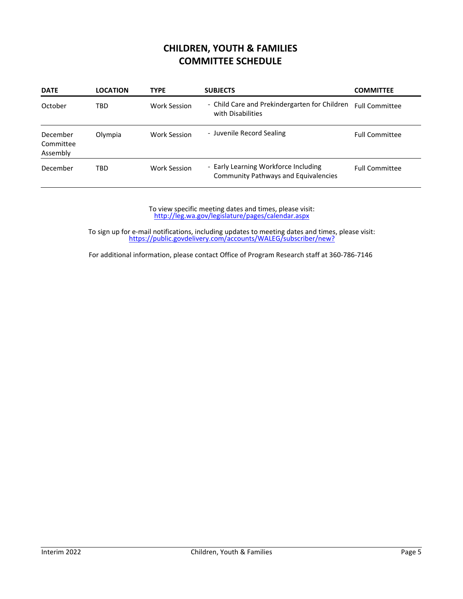#### **CHILDREN, YOUTH & FAMILIES COMMITTEE SCHEDULE**

| <b>DATE</b>                       | <b>LOCATION</b> | <b>TYPE</b>         | <b>SUBJECTS</b>                                                                     | <b>COMMITTEE</b>      |
|-----------------------------------|-----------------|---------------------|-------------------------------------------------------------------------------------|-----------------------|
| October                           | TBD             | Work Session        | - Child Care and Prekindergarten for Children<br>with Disabilities                  | <b>Full Committee</b> |
| December<br>Committee<br>Assembly | Olympia         | Work Session        | - Juvenile Record Sealing                                                           | <b>Full Committee</b> |
| December                          | TBD             | <b>Work Session</b> | - Early Learning Workforce Including<br><b>Community Pathways and Equivalencies</b> | <b>Full Committee</b> |

http://leg.wa.gov/legislature/pages/calendar.aspx To view specific meeting dates and times, please visit:

https://public.govdelivery.com/accounts/WALEG/subscriber/new? To sign up for e‐mail notifications, including updates to meeting dates and times, please visit: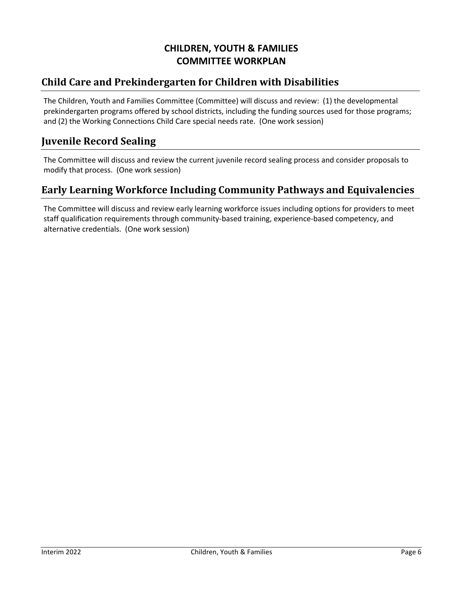# **CHILDREN, YOUTH & FAMILIES COMMITTEE WORKPLAN**

# **Child Care and Prekindergarten for Children with Disabilities**

The Children, Youth and Families Committee (Committee) will discuss and review: (1) the developmental prekindergarten programs offered by school districts, including the funding sources used for those programs; and (2) the Working Connections Child Care special needs rate. (One work session)

#### **Juvenile Record Sealing**

The Committee will discuss and review the current juvenile record sealing process and consider proposals to modify that process. (One work session)

#### **Early Learning Workforce Including Community Pathways and Equivalencies**

The Committee will discuss and review early learning workforce issues including options for providers to meet staff qualification requirements through community‐based training, experience‐based competency, and alternative credentials. (One work session)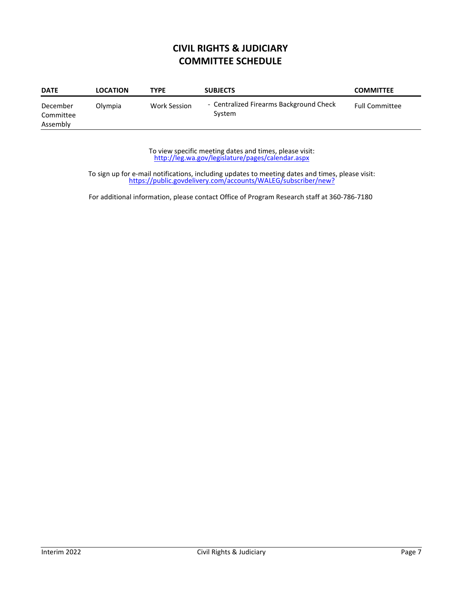# **CIVIL RIGHTS & JUDICIARY COMMITTEE SCHEDULE**

| <b>DATE</b>                       | <b>LOCATION</b> | <b>TYPE</b>  | <b>SUBJECTS</b>                                   | <b>COMMITTEE</b>      |
|-----------------------------------|-----------------|--------------|---------------------------------------------------|-----------------------|
| December<br>Committee<br>Assembly | Olympia         | Work Session | - Centralized Firearms Background Check<br>System | <b>Full Committee</b> |

http://leg.wa.gov/legislature/pages/calendar.aspx To view specific meeting dates and times, please visit:

https://public.govdelivery.com/accounts/WALEG/subscriber/new? To sign up for e‐mail notifications, including updates to meeting dates and times, please visit: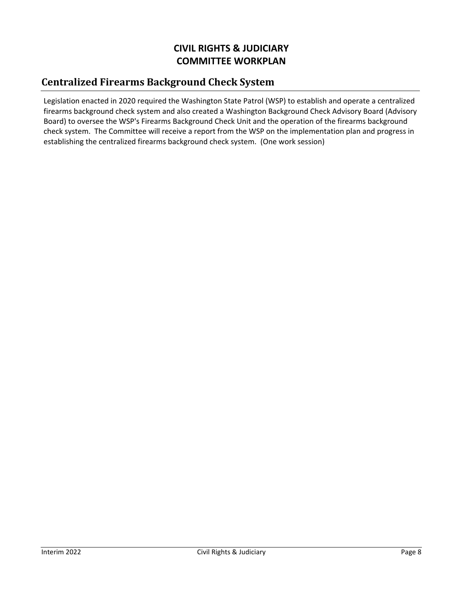# **CIVIL RIGHTS & JUDICIARY COMMITTEE WORKPLAN**

# **Centralized Firearms Background Check System**

Legislation enacted in 2020 required the Washington State Patrol (WSP) to establish and operate a centralized firearms background check system and also created a Washington Background Check Advisory Board (Advisory Board) to oversee the WSP's Firearms Background Check Unit and the operation of the firearms background check system. The Committee will receive a report from the WSP on the implementation plan and progress in establishing the centralized firearms background check system. (One work session)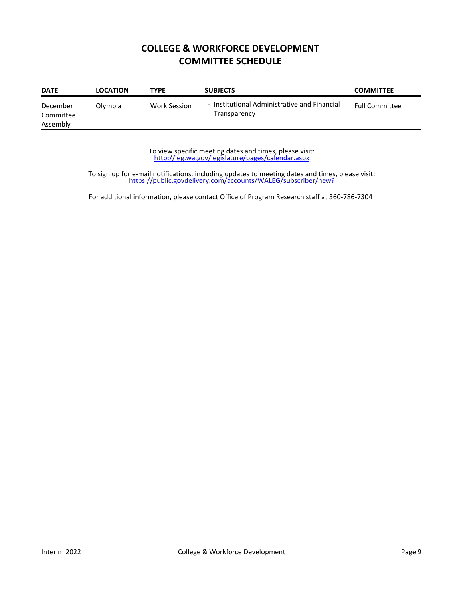#### **COLLEGE & WORKFORCE DEVELOPMENT COMMITTEE SCHEDULE**

| <b>DATE</b>                       | <b>LOCATION</b> | TYPE                | <b>SUBJECTS</b>                                              | <b>COMMITTEE</b>      |
|-----------------------------------|-----------------|---------------------|--------------------------------------------------------------|-----------------------|
| December<br>Committee<br>Assembly | Olympia         | <b>Work Session</b> | - Institutional Administrative and Financial<br>Transparency | <b>Full Committee</b> |

http://leg.wa.gov/legislature/pages/calendar.aspx To view specific meeting dates and times, please visit:

https://public.govdelivery.com/accounts/WALEG/subscriber/new? To sign up for e‐mail notifications, including updates to meeting dates and times, please visit: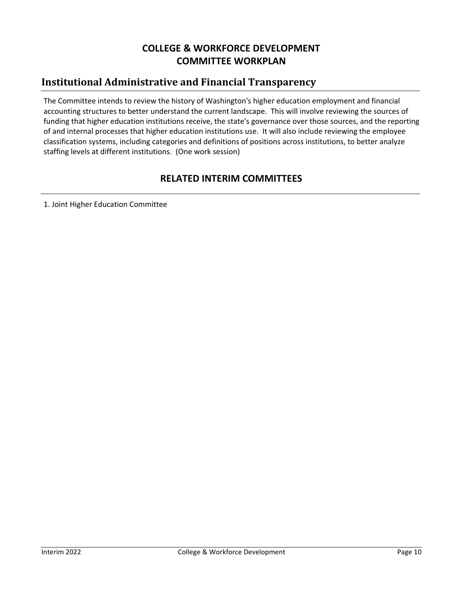# **COLLEGE & WORKFORCE DEVELOPMENT COMMITTEE WORKPLAN**

# **Institutional Administrative and Financial Transparency**

The Committee intends to review the history of Washington's higher education employment and financial accounting structures to better understand the current landscape. This will involve reviewing the sources of funding that higher education institutions receive, the state's governance over those sources, and the reporting of and internal processes that higher education institutions use. It will also include reviewing the employee classification systems, including categories and definitions of positions across institutions, to better analyze staffing levels at different institutions. (One work session)

#### **RELATED INTERIM COMMITTEES**

1. Joint Higher Education Committee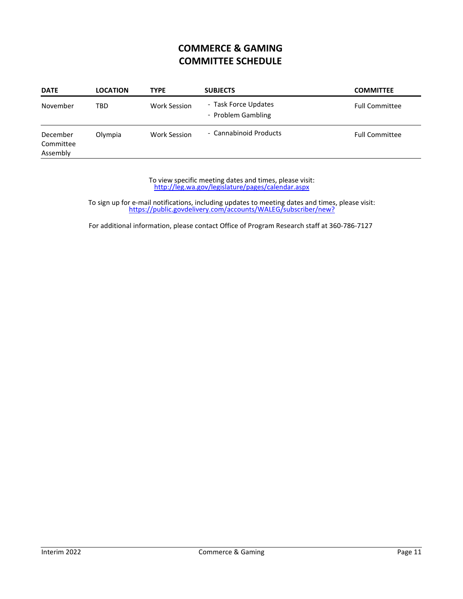# **COMMERCE & GAMING COMMITTEE SCHEDULE**

| <b>DATE</b>                       | <b>LOCATION</b> | <b>TYPE</b>         | <b>SUBJECTS</b>                            | <b>COMMITTEE</b>      |
|-----------------------------------|-----------------|---------------------|--------------------------------------------|-----------------------|
| November                          | TBD             | <b>Work Session</b> | - Task Force Updates<br>- Problem Gambling | <b>Full Committee</b> |
| December<br>Committee<br>Assembly | Olympia         | <b>Work Session</b> | - Cannabinoid Products                     | <b>Full Committee</b> |

http://leg.wa.gov/legislature/pages/calendar.aspx To view specific meeting dates and times, please visit:

https://public.govdelivery.com/accounts/WALEG/subscriber/new? To sign up for e‐mail notifications, including updates to meeting dates and times, please visit: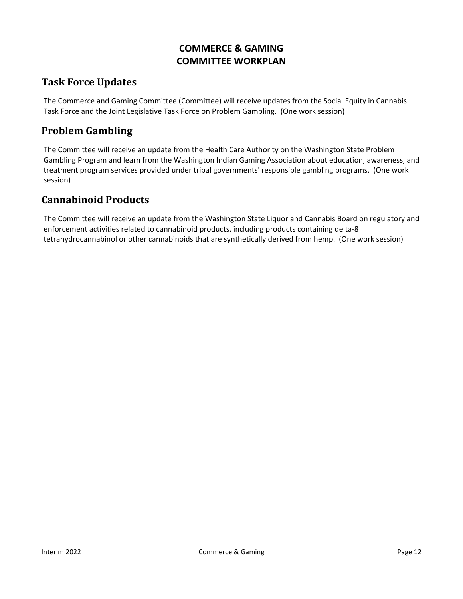# **COMMERCE & GAMING COMMITTEE WORKPLAN**

#### **Task Force Updates**

The Commerce and Gaming Committee (Committee) will receive updates from the Social Equity in Cannabis Task Force and the Joint Legislative Task Force on Problem Gambling. (One work session)

#### **Problem Gambling**

The Committee will receive an update from the Health Care Authority on the Washington State Problem Gambling Program and learn from the Washington Indian Gaming Association about education, awareness, and treatment program services provided under tribal governments' responsible gambling programs. (One work session)

#### **Cannabinoid Products**

The Committee will receive an update from the Washington State Liquor and Cannabis Board on regulatory and enforcement activities related to cannabinoid products, including products containing delta‐8 tetrahydrocannabinol or other cannabinoids that are synthetically derived from hemp. (One work session)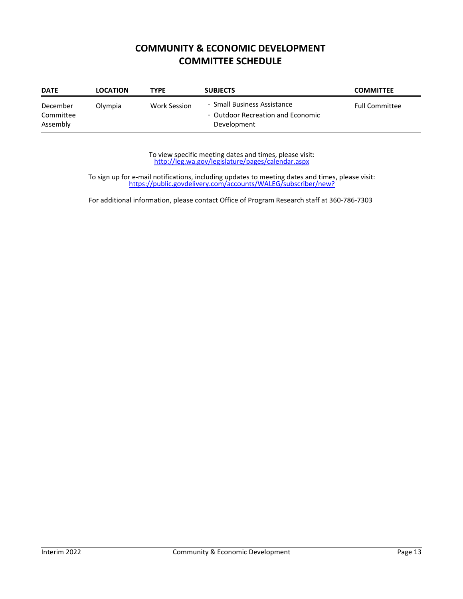# **COMMUNITY & ECONOMIC DEVELOPMENT COMMITTEE SCHEDULE**

| <b>DATE</b>                       | <b>LOCATION</b> | <b>TYPE</b>  | <b>SUBJECTS</b>                                                                 | <b>COMMITTEE</b>      |
|-----------------------------------|-----------------|--------------|---------------------------------------------------------------------------------|-----------------------|
| December<br>Committee<br>Assembly | Olympia         | Work Session | - Small Business Assistance<br>- Outdoor Recreation and Economic<br>Development | <b>Full Committee</b> |

http://leg.wa.gov/legislature/pages/calendar.aspx To view specific meeting dates and times, please visit:

https://public.govdelivery.com/accounts/WALEG/subscriber/new? To sign up for e‐mail notifications, including updates to meeting dates and times, please visit: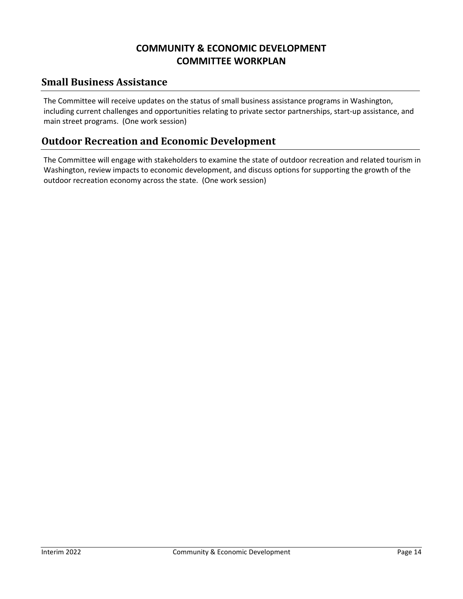# **COMMUNITY & ECONOMIC DEVELOPMENT COMMITTEE WORKPLAN**

#### **Small Business Assistance**

The Committee will receive updates on the status of small business assistance programs in Washington, including current challenges and opportunities relating to private sector partnerships, start‐up assistance, and main street programs. (One work session)

#### **Outdoor Recreation and Economic Development**

The Committee will engage with stakeholders to examine the state of outdoor recreation and related tourism in Washington, review impacts to economic development, and discuss options for supporting the growth of the outdoor recreation economy across the state. (One work session)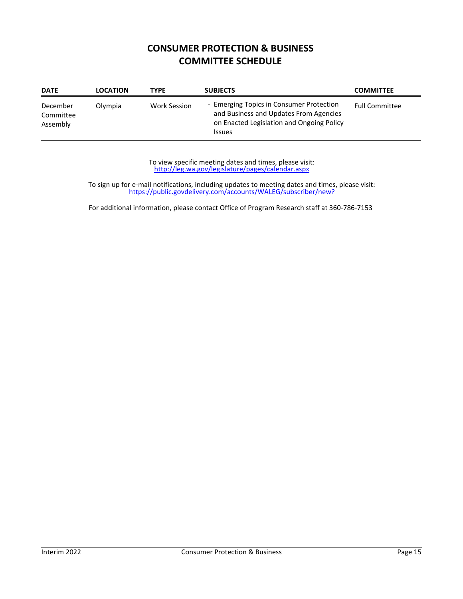# **CONSUMER PROTECTION & BUSINESS COMMITTEE SCHEDULE**

| <b>DATE</b>                       | <b>LOCATION</b> | <b>TYPE</b>  | <b>SUBJECTS</b>                                                                                                                                  | <b>COMMITTEE</b>      |
|-----------------------------------|-----------------|--------------|--------------------------------------------------------------------------------------------------------------------------------------------------|-----------------------|
| December<br>Committee<br>Assembly | Olympia         | Work Session | - Emerging Topics in Consumer Protection<br>and Business and Updates From Agencies<br>on Enacted Legislation and Ongoing Policy<br><b>Issues</b> | <b>Full Committee</b> |

http://leg.wa.gov/legislature/pages/calendar.aspx To view specific meeting dates and times, please visit:

https://public.govdelivery.com/accounts/WALEG/subscriber/new? To sign up for e‐mail notifications, including updates to meeting dates and times, please visit: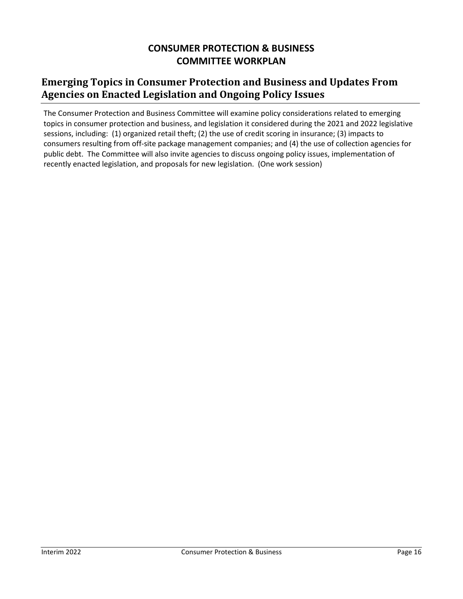## **CONSUMER PROTECTION & BUSINESS COMMITTEE WORKPLAN**

# **Emerging Topics in Consumer Protection and Business and Updates From Agencies on Enacted Legislation and Ongoing Policy Issues**

The Consumer Protection and Business Committee will examine policy considerations related to emerging topics in consumer protection and business, and legislation it considered during the 2021 and 2022 legislative sessions, including: (1) organized retail theft; (2) the use of credit scoring in insurance; (3) impacts to consumers resulting from off‐site package management companies; and (4) the use of collection agencies for public debt. The Committee will also invite agencies to discuss ongoing policy issues, implementation of recently enacted legislation, and proposals for new legislation. (One work session)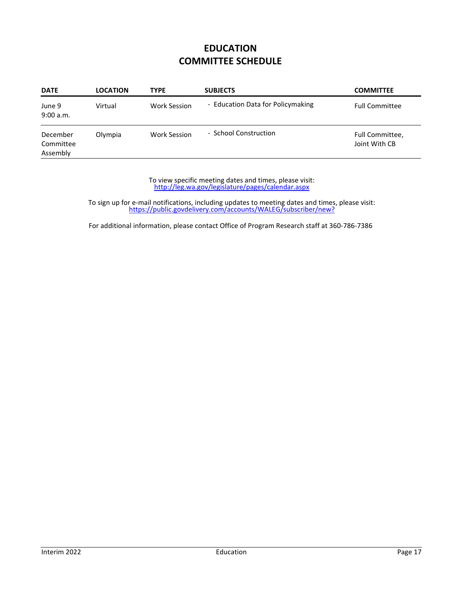# **EDUCATION COMMITTEE SCHEDULE**

| <b>DATE</b>                       | <b>LOCATION</b> | <b>TYPE</b>         | <b>SUBJECTS</b>                   | <b>COMMITTEE</b>                 |
|-----------------------------------|-----------------|---------------------|-----------------------------------|----------------------------------|
| June 9<br>9:00 a.m.               | Virtual         | Work Session        | - Education Data for Policymaking | <b>Full Committee</b>            |
| December<br>Committee<br>Assembly | Olympia         | <b>Work Session</b> | - School Construction             | Full Committee,<br>Joint With CB |

http://leg.wa.gov/legislature/pages/calendar.aspx To view specific meeting dates and times, please visit:

https://public.govdelivery.com/accounts/WALEG/subscriber/new? To sign up for e‐mail notifications, including updates to meeting dates and times, please visit: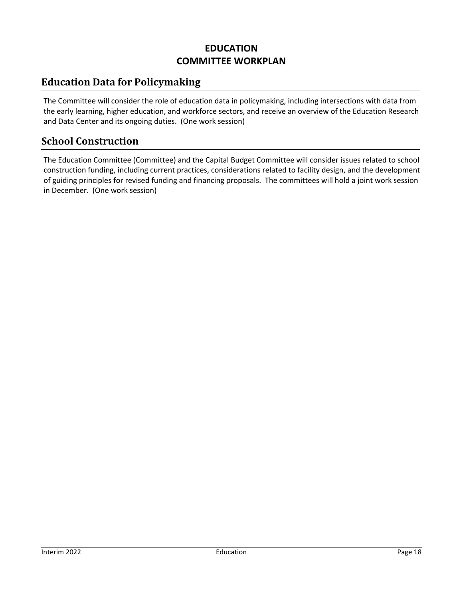# **EDUCATION COMMITTEE WORKPLAN**

# **Education Data for Policymaking**

The Committee will consider the role of education data in policymaking, including intersections with data from the early learning, higher education, and workforce sectors, and receive an overview of the Education Research and Data Center and its ongoing duties. (One work session)

#### **School Construction**

The Education Committee (Committee) and the Capital Budget Committee will consider issues related to school construction funding, including current practices, considerations related to facility design, and the development of guiding principles for revised funding and financing proposals. The committees will hold a joint work session in December. (One work session)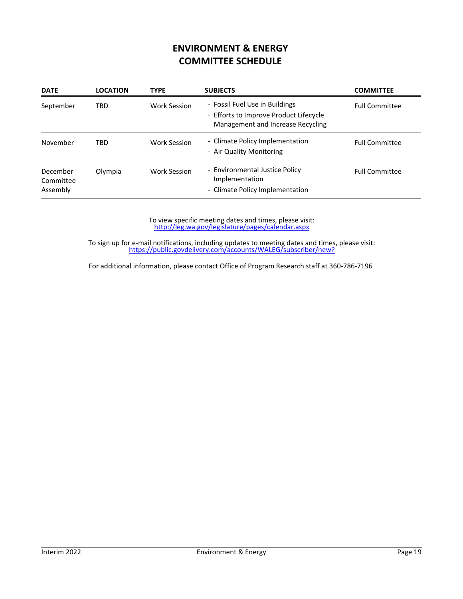# **ENVIRONMENT & ENERGY COMMITTEE SCHEDULE**

| <b>DATE</b>                       | <b>LOCATION</b> | <b>TYPE</b>  | <b>SUBJECTS</b>                                                                                               | <b>COMMITTEE</b>      |
|-----------------------------------|-----------------|--------------|---------------------------------------------------------------------------------------------------------------|-----------------------|
| September                         | TBD             | Work Session | - Fossil Fuel Use in Buildings<br>- Efforts to Improve Product Lifecycle<br>Management and Increase Recycling | <b>Full Committee</b> |
| November                          | TBD             | Work Session | - Climate Policy Implementation<br>- Air Quality Monitoring                                                   | <b>Full Committee</b> |
| December<br>Committee<br>Assembly | Olympia         | Work Session | - Environmental Justice Policy<br>Implementation<br>- Climate Policy Implementation                           | <b>Full Committee</b> |

http://leg.wa.gov/legislature/pages/calendar.aspx To view specific meeting dates and times, please visit:

https://public.govdelivery.com/accounts/WALEG/subscriber/new? To sign up for e‐mail notifications, including updates to meeting dates and times, please visit: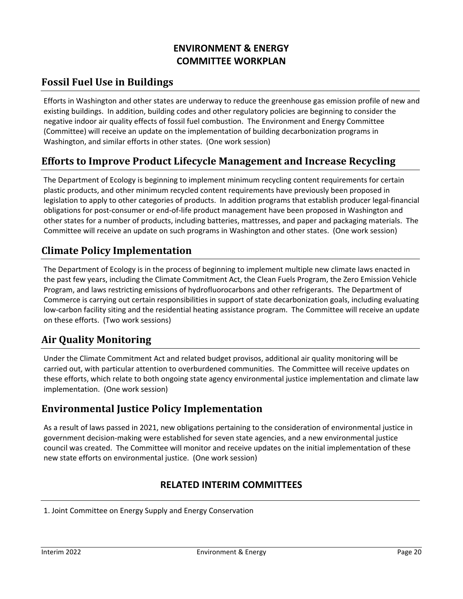# **ENVIRONMENT & ENERGY COMMITTEE WORKPLAN**

# **Fossil Fuel Use in Buildings**

Efforts in Washington and other states are underway to reduce the greenhouse gas emission profile of new and existing buildings. In addition, building codes and other regulatory policies are beginning to consider the negative indoor air quality effects of fossil fuel combustion. The Environment and Energy Committee (Committee) will receive an update on the implementation of building decarbonization programs in Washington, and similar efforts in other states. (One work session)

# **Efforts to Improve Product Lifecycle Management and Increase Recycling**

The Department of Ecology is beginning to implement minimum recycling content requirements for certain plastic products, and other minimum recycled content requirements have previously been proposed in legislation to apply to other categories of products. In addition programs that establish producer legal‐financial obligations for post‐consumer or end‐of‐life product management have been proposed in Washington and other states for a number of products, including batteries, mattresses, and paper and packaging materials. The Committee will receive an update on such programs in Washington and other states. (One work session)

## **Climate Policy Implementation**

The Department of Ecology is in the process of beginning to implement multiple new climate laws enacted in the past few years, including the Climate Commitment Act, the Clean Fuels Program, the Zero Emission Vehicle Program, and laws restricting emissions of hydrofluorocarbons and other refrigerants. The Department of Commerce is carrying out certain responsibilities in support of state decarbonization goals, including evaluating low‐carbon facility siting and the residential heating assistance program. The Committee will receive an update on these efforts. (Two work sessions)

## **Air Quality Monitoring**

Under the Climate Commitment Act and related budget provisos, additional air quality monitoring will be carried out, with particular attention to overburdened communities. The Committee will receive updates on these efforts, which relate to both ongoing state agency environmental justice implementation and climate law implementation. (One work session)

# **Environmental Justice Policy Implementation**

As a result of laws passed in 2021, new obligations pertaining to the consideration of environmental justice in government decision‐making were established for seven state agencies, and a new environmental justice council was created. The Committee will monitor and receive updates on the initial implementation of these new state efforts on environmental justice. (One work session)

#### **RELATED INTERIM COMMITTEES**

1. Joint Committee on Energy Supply and Energy Conservation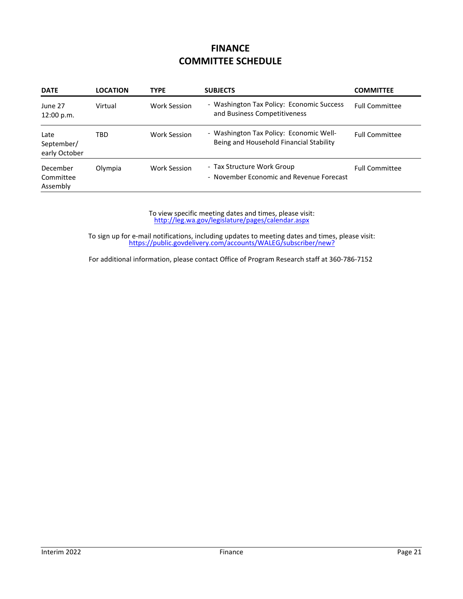## **FINANCE COMMITTEE SCHEDULE**

| <b>DATE</b>                         | <b>LOCATION</b> | <b>TYPE</b>         | <b>SUBJECTS</b>                                                                    | <b>COMMITTEE</b>      |
|-------------------------------------|-----------------|---------------------|------------------------------------------------------------------------------------|-----------------------|
| June 27<br>12:00 p.m.               | Virtual         | Work Session        | - Washington Tax Policy: Economic Success<br>and Business Competitiveness          | <b>Full Committee</b> |
| Late<br>September/<br>early October | TBD             | Work Session        | - Washington Tax Policy: Economic Well-<br>Being and Household Financial Stability | <b>Full Committee</b> |
| December<br>Committee<br>Assembly   | Olympia         | <b>Work Session</b> | - Tax Structure Work Group<br>- November Economic and Revenue Forecast             | <b>Full Committee</b> |

http://leg.wa.gov/legislature/pages/calendar.aspx To view specific meeting dates and times, please visit:

https://public.govdelivery.com/accounts/WALEG/subscriber/new? To sign up for e‐mail notifications, including updates to meeting dates and times, please visit: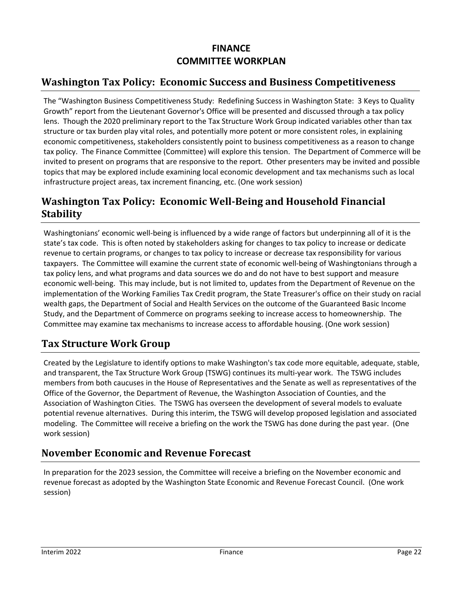# **FINANCE COMMITTEE WORKPLAN**

# **Washington Tax Policy: Economic Success and Business Competitiveness**

The "Washington Business Competitiveness Study: Redefining Success in Washington State: 3 Keys to Quality Growth" report from the Lieutenant Governor's Office will be presented and discussed through a tax policy lens. Though the 2020 preliminary report to the Tax Structure Work Group indicated variables other than tax structure or tax burden play vital roles, and potentially more potent or more consistent roles, in explaining economic competitiveness, stakeholders consistently point to business competitiveness as a reason to change tax policy. The Finance Committee (Committee) will explore this tension. The Department of Commerce will be invited to present on programs that are responsive to the report. Other presenters may be invited and possible topics that may be explored include examining local economic development and tax mechanisms such as local infrastructure project areas, tax increment financing, etc. (One work session)

# **Washington Tax Policy: Economic Well‐Being and Household Financial Stability**

Washingtonians' economic well‐being is influenced by a wide range of factors but underpinning all of it is the state's tax code. This is often noted by stakeholders asking for changes to tax policy to increase or dedicate revenue to certain programs, or changes to tax policy to increase or decrease tax responsibility for various taxpayers. The Committee will examine the current state of economic well‐being of Washingtonians through a tax policy lens, and what programs and data sources we do and do not have to best support and measure economic well‐being. This may include, but is not limited to, updates from the Department of Revenue on the implementation of the Working Families Tax Credit program, the State Treasurer's office on their study on racial wealth gaps, the Department of Social and Health Services on the outcome of the Guaranteed Basic Income Study, and the Department of Commerce on programs seeking to increase access to homeownership. The Committee may examine tax mechanisms to increase access to affordable housing. (One work session)

## **Tax Structure Work Group**

Created by the Legislature to identify options to make Washington's tax code more equitable, adequate, stable, and transparent, the Tax Structure Work Group (TSWG) continues its multi‐year work. The TSWG includes members from both caucuses in the House of Representatives and the Senate as well as representatives of the Office of the Governor, the Department of Revenue, the Washington Association of Counties, and the Association of Washington Cities. The TSWG has overseen the development of several models to evaluate potential revenue alternatives. During this interim, the TSWG will develop proposed legislation and associated modeling. The Committee will receive a briefing on the work the TSWG has done during the past year. (One work session)

#### **November Economic and Revenue Forecast**

In preparation for the 2023 session, the Committee will receive a briefing on the November economic and revenue forecast as adopted by the Washington State Economic and Revenue Forecast Council. (One work session)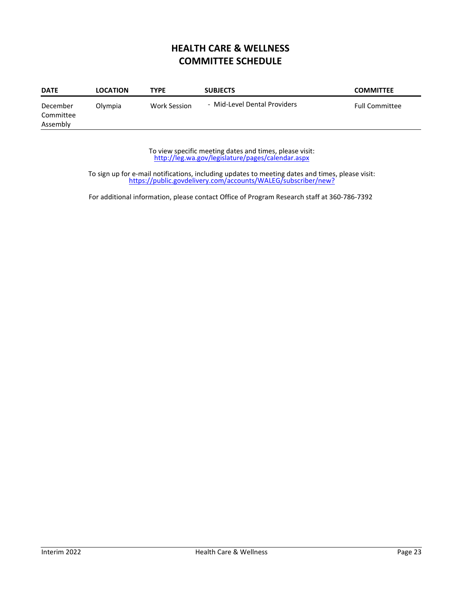# **HEALTH CARE & WELLNESS COMMITTEE SCHEDULE**

| <b>DATE</b>                       | <b>LOCATION</b> | <b>TYPE</b>         | <b>SUBJECTS</b>              | <b>COMMITTEE</b>      |
|-----------------------------------|-----------------|---------------------|------------------------------|-----------------------|
| December<br>Committee<br>Assembly | Olympia         | <b>Work Session</b> | - Mid-Level Dental Providers | <b>Full Committee</b> |

http://leg.wa.gov/legislature/pages/calendar.aspx To view specific meeting dates and times, please visit:

https://public.govdelivery.com/accounts/WALEG/subscriber/new? To sign up for e‐mail notifications, including updates to meeting dates and times, please visit: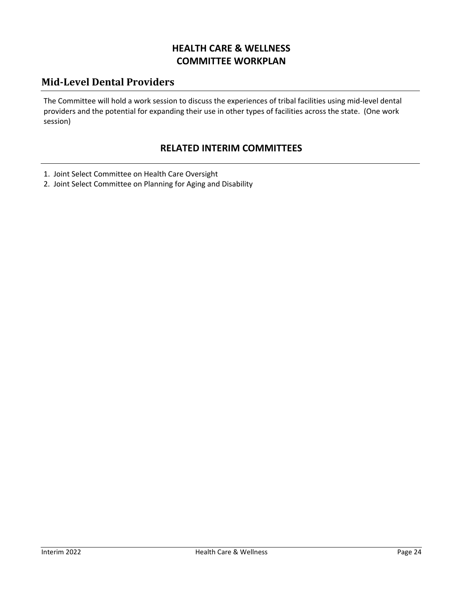# **HEALTH CARE & WELLNESS COMMITTEE WORKPLAN**

# **Mid‐Level Dental Providers**

The Committee will hold a work session to discuss the experiences of tribal facilities using mid‐level dental providers and the potential for expanding their use in other types of facilities across the state. (One work session)

#### **RELATED INTERIM COMMITTEES**

- 1. Joint Select Committee on Health Care Oversight
- 2. Joint Select Committee on Planning for Aging and Disability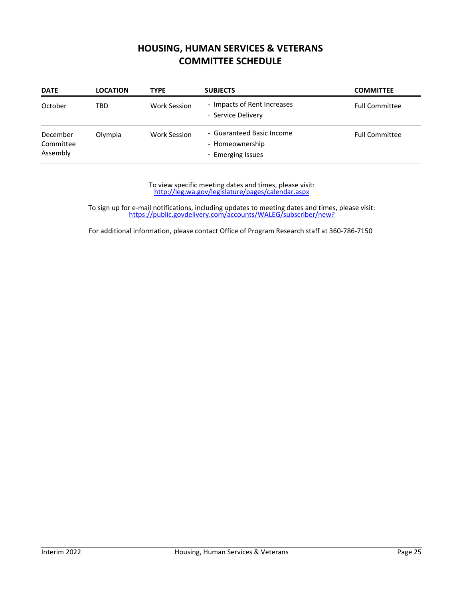#### **HOUSING, HUMAN SERVICES & VETERANS COMMITTEE SCHEDULE**

| <b>DATE</b>                       | <b>LOCATION</b> | <b>TYPE</b>         | <b>SUBJECTS</b>                                                   | <b>COMMITTEE</b>      |
|-----------------------------------|-----------------|---------------------|-------------------------------------------------------------------|-----------------------|
| October                           | TBD             | <b>Work Session</b> | - Impacts of Rent Increases<br>- Service Delivery                 | <b>Full Committee</b> |
| December<br>Committee<br>Assembly | Olympia         | <b>Work Session</b> | - Guaranteed Basic Income<br>- Homeownership<br>- Emerging Issues | <b>Full Committee</b> |

http://leg.wa.gov/legislature/pages/calendar.aspx To view specific meeting dates and times, please visit:

https://public.govdelivery.com/accounts/WALEG/subscriber/new? To sign up for e‐mail notifications, including updates to meeting dates and times, please visit: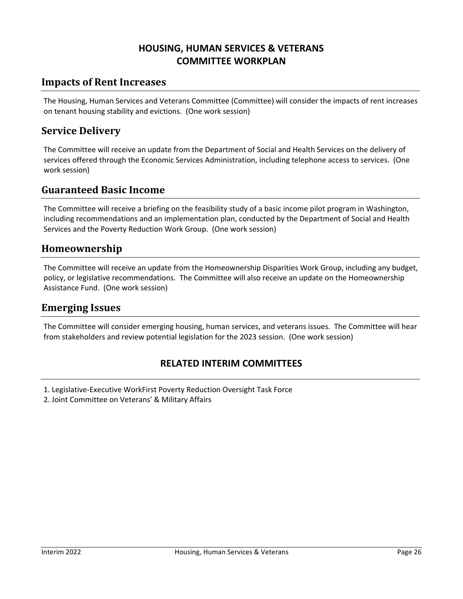## **HOUSING, HUMAN SERVICES & VETERANS COMMITTEE WORKPLAN**

#### **Impacts of Rent Increases**

The Housing, Human Services and Veterans Committee (Committee) will consider the impacts of rent increases on tenant housing stability and evictions. (One work session)

#### **Service Delivery**

The Committee will receive an update from the Department of Social and Health Services on the delivery of services offered through the Economic Services Administration, including telephone access to services. (One work session)

#### **Guaranteed Basic Income**

The Committee will receive a briefing on the feasibility study of a basic income pilot program in Washington, including recommendations and an implementation plan, conducted by the Department of Social and Health Services and the Poverty Reduction Work Group. (One work session)

#### **Homeownership**

The Committee will receive an update from the Homeownership Disparities Work Group, including any budget, policy, or legislative recommendations. The Committee will also receive an update on the Homeownership Assistance Fund. (One work session)

#### **Emerging Issues**

The Committee will consider emerging housing, human services, and veterans issues. The Committee will hear from stakeholders and review potential legislation for the 2023 session. (One work session)

#### **RELATED INTERIM COMMITTEES**

- 1. Legislative‐Executive WorkFirst Poverty Reduction Oversight Task Force
- 2. Joint Committee on Veterans' & Military Affairs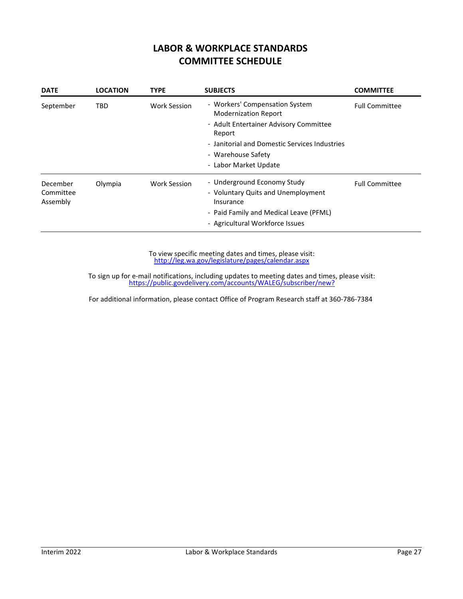#### **LABOR & WORKPLACE STANDARDS COMMITTEE SCHEDULE**

| <b>DATE</b>                       | <b>LOCATION</b> | <b>TYPE</b>         | <b>SUBJECTS</b>                                                                                                                                                                                                   | <b>COMMITTEE</b>      |
|-----------------------------------|-----------------|---------------------|-------------------------------------------------------------------------------------------------------------------------------------------------------------------------------------------------------------------|-----------------------|
| September                         | TBD             | <b>Work Session</b> | - Workers' Compensation System<br><b>Modernization Report</b><br>- Adult Entertainer Advisory Committee<br>Report<br>- Janitorial and Domestic Services Industries<br>- Warehouse Safety<br>- Labor Market Update | <b>Full Committee</b> |
| December<br>Committee<br>Assembly | Olympia         | Work Session        | - Underground Economy Study<br>- Voluntary Quits and Unemployment<br>Insurance<br>- Paid Family and Medical Leave (PFML)<br>- Agricultural Workforce Issues                                                       | <b>Full Committee</b> |

http://leg.wa.gov/legislature/pages/calendar.aspx To view specific meeting dates and times, please visit:

https://public.govdelivery.com/accounts/WALEG/subscriber/new? To sign up for e‐mail notifications, including updates to meeting dates and times, please visit: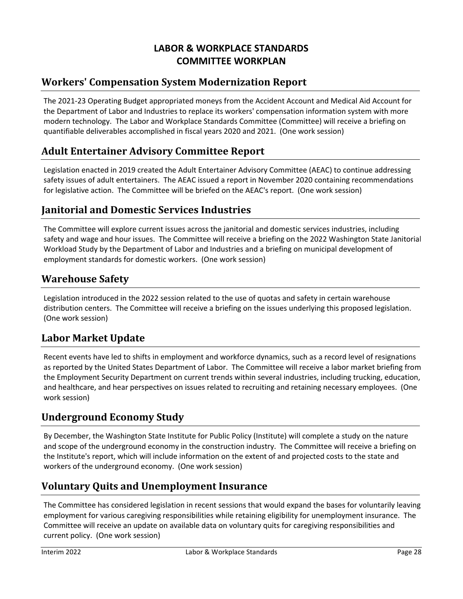# **LABOR & WORKPLACE STANDARDS COMMITTEE WORKPLAN**

# **Workers' Compensation System Modernization Report**

The 2021‐23 Operating Budget appropriated moneys from the Accident Account and Medical Aid Account for the Department of Labor and Industries to replace its workers' compensation information system with more modern technology. The Labor and Workplace Standards Committee (Committee) will receive a briefing on quantifiable deliverables accomplished in fiscal years 2020 and 2021. (One work session)

# **Adult Entertainer Advisory Committee Report**

Legislation enacted in 2019 created the Adult Entertainer Advisory Committee (AEAC) to continue addressing safety issues of adult entertainers. The AEAC issued a report in November 2020 containing recommendations for legislative action. The Committee will be briefed on the AEAC's report. (One work session)

#### **Janitorial and Domestic Services Industries**

The Committee will explore current issues across the janitorial and domestic services industries, including safety and wage and hour issues. The Committee will receive a briefing on the 2022 Washington State Janitorial Workload Study by the Department of Labor and Industries and a briefing on municipal development of employment standards for domestic workers. (One work session)

## **Warehouse Safety**

Legislation introduced in the 2022 session related to the use of quotas and safety in certain warehouse distribution centers. The Committee will receive a briefing on the issues underlying this proposed legislation. (One work session)

## **Labor Market Update**

Recent events have led to shifts in employment and workforce dynamics, such as a record level of resignations as reported by the United States Department of Labor. The Committee will receive a labor market briefing from the Employment Security Department on current trends within several industries, including trucking, education, and healthcare, and hear perspectives on issues related to recruiting and retaining necessary employees. (One work session)

## **Underground Economy Study**

By December, the Washington State Institute for Public Policy (Institute) will complete a study on the nature and scope of the underground economy in the construction industry. The Committee will receive a briefing on the Institute's report, which will include information on the extent of and projected costs to the state and workers of the underground economy. (One work session)

## **Voluntary Quits and Unemployment Insurance**

The Committee has considered legislation in recent sessions that would expand the bases for voluntarily leaving employment for various caregiving responsibilities while retaining eligibility for unemployment insurance. The Committee will receive an update on available data on voluntary quits for caregiving responsibilities and current policy. (One work session)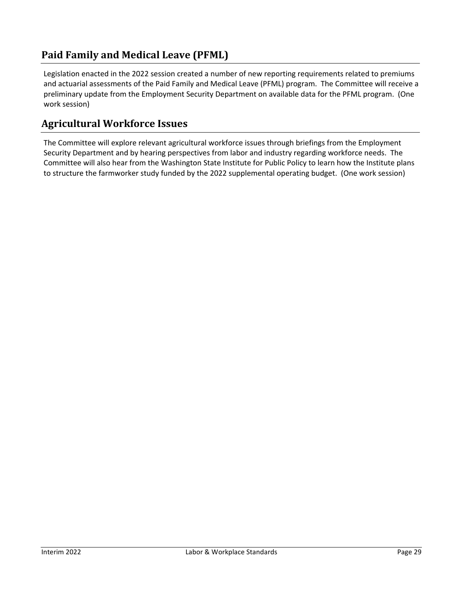# **Paid Family and Medical Leave (PFML)**

Legislation enacted in the 2022 session created a number of new reporting requirements related to premiums and actuarial assessments of the Paid Family and Medical Leave (PFML) program. The Committee will receive a preliminary update from the Employment Security Department on available data for the PFML program. (One work session)

## **Agricultural Workforce Issues**

The Committee will explore relevant agricultural workforce issues through briefings from the Employment Security Department and by hearing perspectives from labor and industry regarding workforce needs. The Committee will also hear from the Washington State Institute for Public Policy to learn how the Institute plans to structure the farmworker study funded by the 2022 supplemental operating budget. (One work session)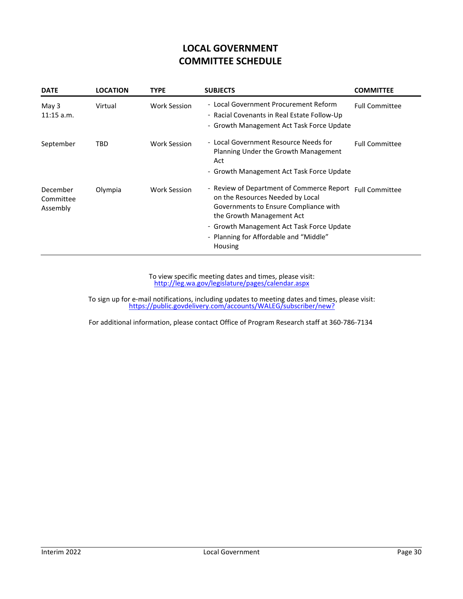# **LOCAL GOVERNMENT COMMITTEE SCHEDULE**

| <b>DATE</b>                       | <b>LOCATION</b> | <b>TYPE</b>         | <b>SUBJECTS</b>                                                                                                                                                                                                                                       | <b>COMMITTEE</b>      |
|-----------------------------------|-----------------|---------------------|-------------------------------------------------------------------------------------------------------------------------------------------------------------------------------------------------------------------------------------------------------|-----------------------|
| May 3<br>$11:15$ a.m.             | Virtual         | Work Session        | - Local Government Procurement Reform<br>- Racial Covenants in Real Estate Follow-Up<br>- Growth Management Act Task Force Update                                                                                                                     | <b>Full Committee</b> |
| September                         | TBD             | <b>Work Session</b> | - Local Government Resource Needs for<br>Planning Under the Growth Management<br>Act<br>- Growth Management Act Task Force Update                                                                                                                     | <b>Full Committee</b> |
| December<br>Committee<br>Assembly | Olympia         | <b>Work Session</b> | - Review of Department of Commerce Report<br>on the Resources Needed by Local<br>Governments to Ensure Compliance with<br>the Growth Management Act<br>- Growth Management Act Task Force Update<br>- Planning for Affordable and "Middle"<br>Housing | <b>Full Committee</b> |

http://leg.wa.gov/legislature/pages/calendar.aspx To view specific meeting dates and times, please visit:

https://public.govdelivery.com/accounts/WALEG/subscriber/new? To sign up for e‐mail notifications, including updates to meeting dates and times, please visit: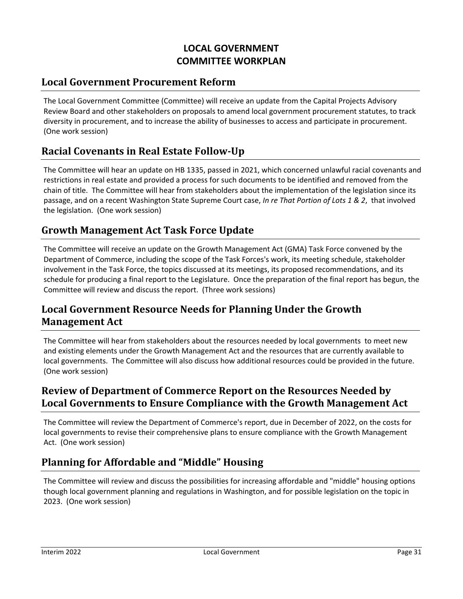# **LOCAL GOVERNMENT COMMITTEE WORKPLAN**

#### **Local Government Procurement Reform**

The Local Government Committee (Committee) will receive an update from the Capital Projects Advisory Review Board and other stakeholders on proposals to amend local government procurement statutes, to track diversity in procurement, and to increase the ability of businesses to access and participate in procurement. (One work session)

## **Racial Covenants in Real Estate Follow‐Up**

The Committee will hear an update on HB 1335, passed in 2021, which concerned unlawful racial covenants and restrictions in real estate and provided a process for such documents to be identified and removed from the chain of title. The Committee will hear from stakeholders about the implementation of the legislation since its passage, and on a recent Washington State Supreme Court case, *In re That Portion of Lots 1 & 2*, that involved the legislation. (One work session)

#### **Growth Management Act Task Force Update**

The Committee will receive an update on the Growth Management Act (GMA) Task Force convened by the Department of Commerce, including the scope of the Task Forces's work, its meeting schedule, stakeholder involvement in the Task Force, the topics discussed at its meetings, its proposed recommendations, and its schedule for producing a final report to the Legislature. Once the preparation of the final report has begun, the Committee will review and discuss the report. (Three work sessions)

## **Local Government Resource Needs for Planning Under the Growth Management Act**

The Committee will hear from stakeholders about the resources needed by local governments to meet new and existing elements under the Growth Management Act and the resources that are currently available to local governments. The Committee will also discuss how additional resources could be provided in the future. (One work session)

#### **Review of Department of Commerce Report on the Resources Needed by Local Governments to Ensure Compliance with the Growth Management Act**

The Committee will review the Department of Commerce's report, due in December of 2022, on the costs for local governments to revise their comprehensive plans to ensure compliance with the Growth Management Act. (One work session)

## **Planning for Affordable and "Middle" Housing**

The Committee will review and discuss the possibilities for increasing affordable and "middle" housing options though local government planning and regulations in Washington, and for possible legislation on the topic in 2023. (One work session)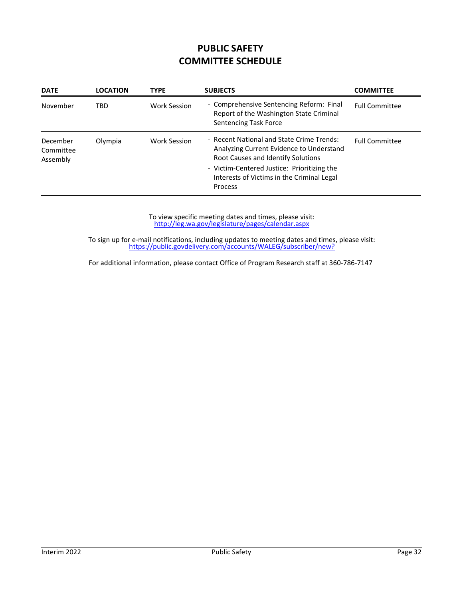# **PUBLIC SAFETY COMMITTEE SCHEDULE**

| <b>DATE</b>                       | <b>LOCATION</b> | <b>TYPE</b>         | <b>SUBJECTS</b>                                                                                                             | <b>COMMITTEE</b>      |
|-----------------------------------|-----------------|---------------------|-----------------------------------------------------------------------------------------------------------------------------|-----------------------|
| November                          | TRD             | <b>Work Session</b> | - Comprehensive Sentencing Reform: Final<br>Report of the Washington State Criminal<br><b>Sentencing Task Force</b>         | <b>Full Committee</b> |
| December<br>Committee<br>Assembly | Olympia         | <b>Work Session</b> | - Recent National and State Crime Trends:<br>Analyzing Current Evidence to Understand<br>Root Causes and Identify Solutions | <b>Full Committee</b> |
|                                   |                 |                     | - Victim-Centered Justice: Prioritizing the<br>Interests of Victims in the Criminal Legal<br>Process                        |                       |

http://leg.wa.gov/legislature/pages/calendar.aspx To view specific meeting dates and times, please visit:

https://public.govdelivery.com/accounts/WALEG/subscriber/new? To sign up for e‐mail notifications, including updates to meeting dates and times, please visit: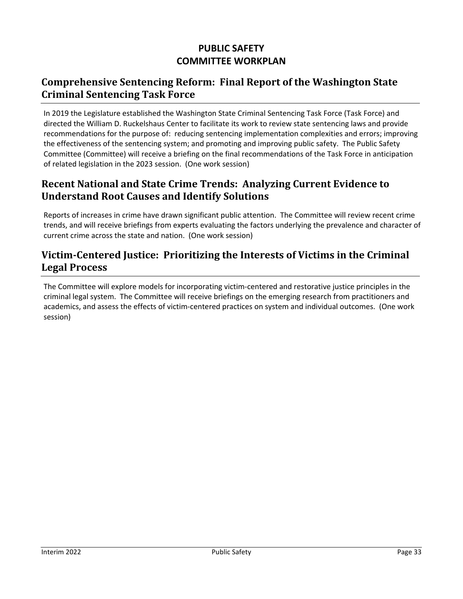# **PUBLIC SAFETY COMMITTEE WORKPLAN**

## **Comprehensive Sentencing Reform: Final Report of the Washington State Criminal Sentencing Task Force**

In 2019 the Legislature established the Washington State Criminal Sentencing Task Force (Task Force) and directed the William D. Ruckelshaus Center to facilitate its work to review state sentencing laws and provide recommendations for the purpose of: reducing sentencing implementation complexities and errors; improving the effectiveness of the sentencing system; and promoting and improving public safety. The Public Safety Committee (Committee) will receive a briefing on the final recommendations of the Task Force in anticipation of related legislation in the 2023 session. (One work session)

## **Recent National and State Crime Trends: Analyzing Current Evidence to Understand Root Causes and Identify Solutions**

Reports of increases in crime have drawn significant public attention. The Committee will review recent crime trends, and will receive briefings from experts evaluating the factors underlying the prevalence and character of current crime across the state and nation. (One work session)

# **Victim‐Centered Justice: Prioritizing the Interests of Victims in the Criminal Legal Process**

The Committee will explore models for incorporating victim‐centered and restorative justice principles in the criminal legal system. The Committee will receive briefings on the emerging research from practitioners and academics, and assess the effects of victim‐centered practices on system and individual outcomes. (One work session)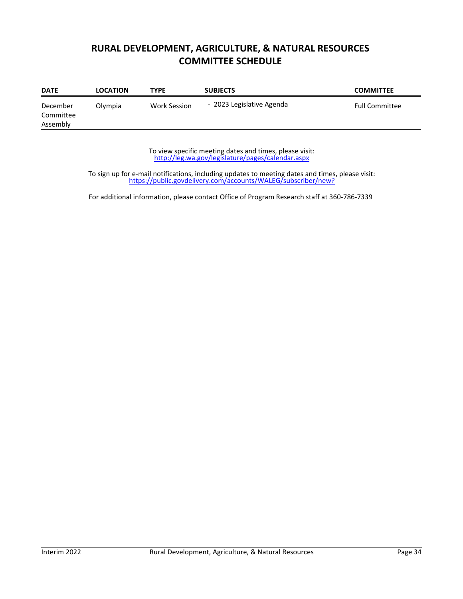# **RURAL DEVELOPMENT, AGRICULTURE, & NATURAL RESOURCES COMMITTEE SCHEDULE**

| <b>DATE</b>                       | <b>LOCATION</b> | TYPE         | <b>SUBJECTS</b>           | <b>COMMITTEE</b>      |
|-----------------------------------|-----------------|--------------|---------------------------|-----------------------|
| December<br>Committee<br>Assembly | Olympia         | Work Session | - 2023 Legislative Agenda | <b>Full Committee</b> |

http://leg.wa.gov/legislature/pages/calendar.aspx To view specific meeting dates and times, please visit:

https://public.govdelivery.com/accounts/WALEG/subscriber/new? To sign up for e‐mail notifications, including updates to meeting dates and times, please visit: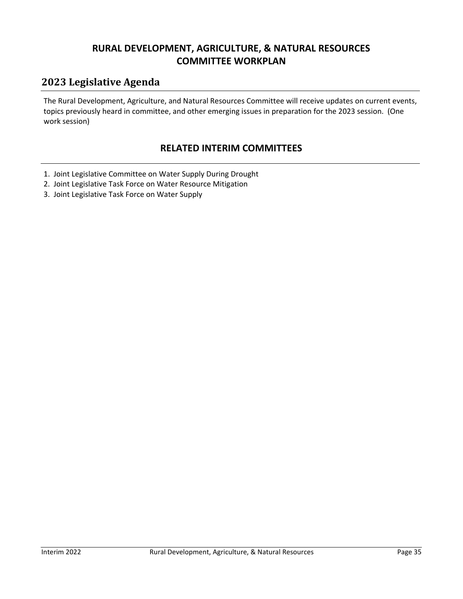## **RURAL DEVELOPMENT, AGRICULTURE, & NATURAL RESOURCES COMMITTEE WORKPLAN**

# **2023 Legislative Agenda**

The Rural Development, Agriculture, and Natural Resources Committee will receive updates on current events, topics previously heard in committee, and other emerging issues in preparation for the 2023 session. (One work session)

#### **RELATED INTERIM COMMITTEES**

- 1. Joint Legislative Committee on Water Supply During Drought
- 2. Joint Legislative Task Force on Water Resource Mitigation
- 3. Joint Legislative Task Force on Water Supply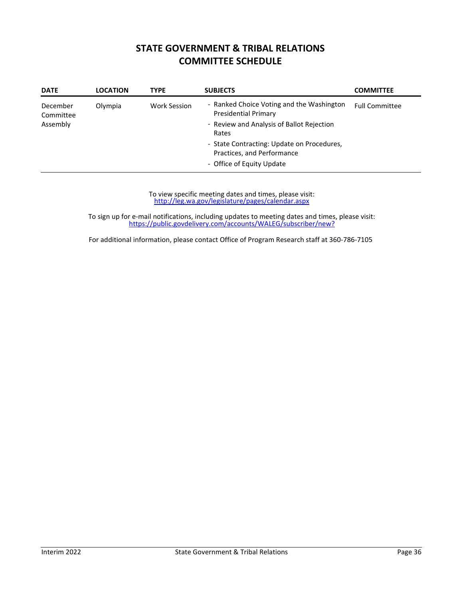#### **STATE GOVERNMENT & TRIBAL RELATIONS COMMITTEE SCHEDULE**

| <b>DATE</b>           | <b>LOCATION</b> | <b>TYPE</b>         | <b>SUBJECTS</b>                                                          | <b>COMMITTEE</b>      |
|-----------------------|-----------------|---------------------|--------------------------------------------------------------------------|-----------------------|
| December<br>Committee | Olympia         | <b>Work Session</b> | - Ranked Choice Voting and the Washington<br><b>Presidential Primary</b> | <b>Full Committee</b> |
| Assembly              |                 |                     | - Review and Analysis of Ballot Rejection<br>Rates                       |                       |
|                       |                 |                     | - State Contracting: Update on Procedures,<br>Practices, and Performance |                       |
|                       |                 |                     | - Office of Equity Update                                                |                       |

http://leg.wa.gov/legislature/pages/calendar.aspx To view specific meeting dates and times, please visit:

https://public.govdelivery.com/accounts/WALEG/subscriber/new? To sign up for e‐mail notifications, including updates to meeting dates and times, please visit: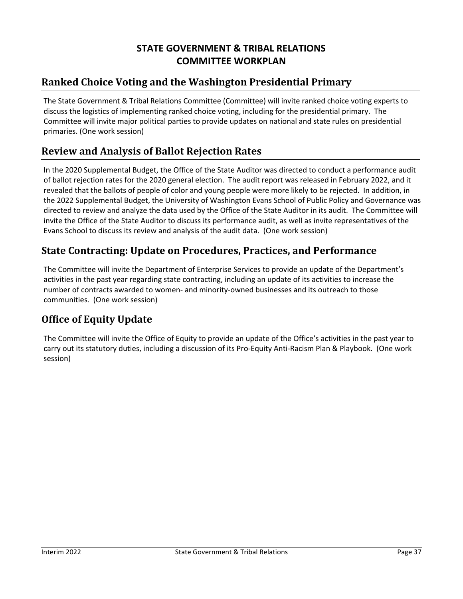# **STATE GOVERNMENT & TRIBAL RELATIONS COMMITTEE WORKPLAN**

# **Ranked Choice Voting and the Washington Presidential Primary**

The State Government & Tribal Relations Committee (Committee) will invite ranked choice voting experts to discuss the logistics of implementing ranked choice voting, including for the presidential primary. The Committee will invite major political parties to provide updates on national and state rules on presidential primaries. (One work session)

# **Review and Analysis of Ballot Rejection Rates**

In the 2020 Supplemental Budget, the Office of the State Auditor was directed to conduct a performance audit of ballot rejection rates for the 2020 general election. The audit report was released in February 2022, and it revealed that the ballots of people of color and young people were more likely to be rejected. In addition, in the 2022 Supplemental Budget, the University of Washington Evans School of Public Policy and Governance was directed to review and analyze the data used by the Office of the State Auditor in its audit. The Committee will invite the Office of the State Auditor to discuss its performance audit, as well as invite representatives of the Evans School to discuss its review and analysis of the audit data. (One work session)

## **State Contracting: Update on Procedures, Practices, and Performance**

The Committee will invite the Department of Enterprise Services to provide an update of the Department's activities in the past year regarding state contracting, including an update of its activities to increase the number of contracts awarded to women‐ and minority‐owned businesses and its outreach to those communities. (One work session)

## **Office of Equity Update**

The Committee will invite the Office of Equity to provide an update of the Office's activities in the past year to carry out its statutory duties, including a discussion of its Pro-Equity Anti-Racism Plan & Playbook. (One work session)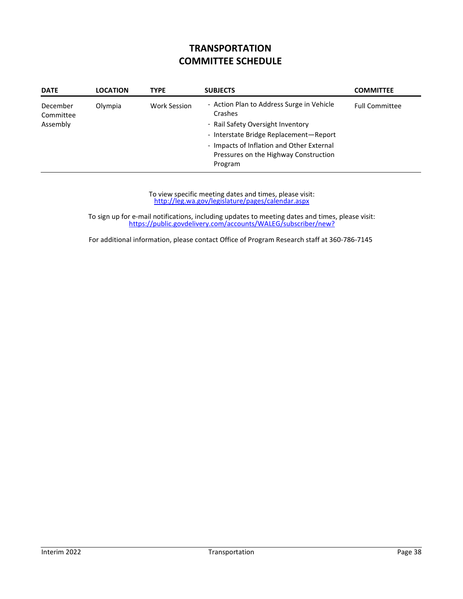# **TRANSPORTATION COMMITTEE SCHEDULE**

| <b>DATE</b>                       | <b>LOCATION</b> | <b>TYPE</b>  | <b>SUBJECTS</b>                                                                                                                                                                                                                      | <b>COMMITTEE</b>      |
|-----------------------------------|-----------------|--------------|--------------------------------------------------------------------------------------------------------------------------------------------------------------------------------------------------------------------------------------|-----------------------|
| December<br>Committee<br>Assembly | Olympia         | Work Session | - Action Plan to Address Surge in Vehicle<br>Crashes<br>- Rail Safety Oversight Inventory<br>- Interstate Bridge Replacement-Report<br>- Impacts of Inflation and Other External<br>Pressures on the Highway Construction<br>Program | <b>Full Committee</b> |

http://leg.wa.gov/legislature/pages/calendar.aspx To view specific meeting dates and times, please visit:

https://public.govdelivery.com/accounts/WALEG/subscriber/new? To sign up for e‐mail notifications, including updates to meeting dates and times, please visit: